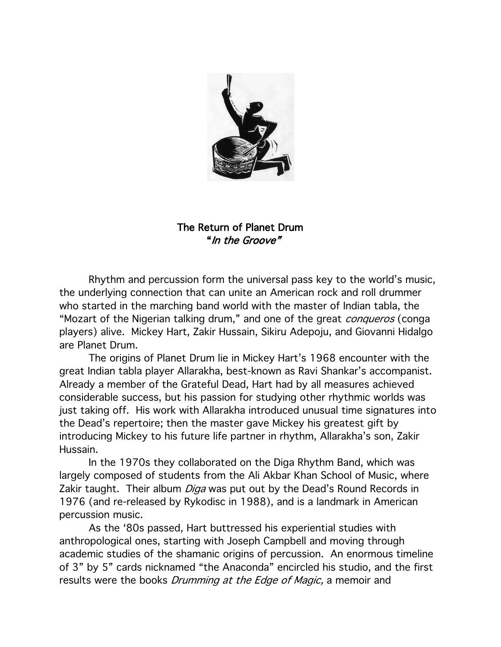

## The Return of Planet Drum "In the Groove"

Rhythm and percussion form the universal pass key to the world's music, the underlying connection that can unite an American rock and roll drummer who started in the marching band world with the master of Indian tabla, the "Mozart of the Nigerian talking drum," and one of the great *conqueros* (conga players) alive. Mickey Hart, Zakir Hussain, Sikiru Adepoju, and Giovanni Hidalgo are Planet Drum.

The origins of Planet Drum lie in Mickey Hart's 1968 encounter with the great Indian tabla player Allarakha, best-known as Ravi Shankar's accompanist. Already a member of the Grateful Dead, Hart had by all measures achieved considerable success, but his passion for studying other rhythmic worlds was just taking off. His work with Allarakha introduced unusual time signatures into the Dead's repertoire; then the master gave Mickey his greatest gift by introducing Mickey to his future life partner in rhythm, Allarakha's son, Zakir Hussain.

In the 1970s they collaborated on the Diga Rhythm Band, which was largely composed of students from the Ali Akbar Khan School of Music, where Zakir taught. Their album *Diga* was put out by the Dead's Round Records in 1976 (and re-released by Rykodisc in 1988), and is a landmark in American percussion music.

As the '80s passed, Hart buttressed his experiential studies with anthropological ones, starting with Joseph Campbell and moving through academic studies of the shamanic origins of percussion. An enormous timeline of 3" by 5" cards nicknamed "the Anaconda" encircled his studio, and the first results were the books *Drumming at the Edge of Magic*, a memoir and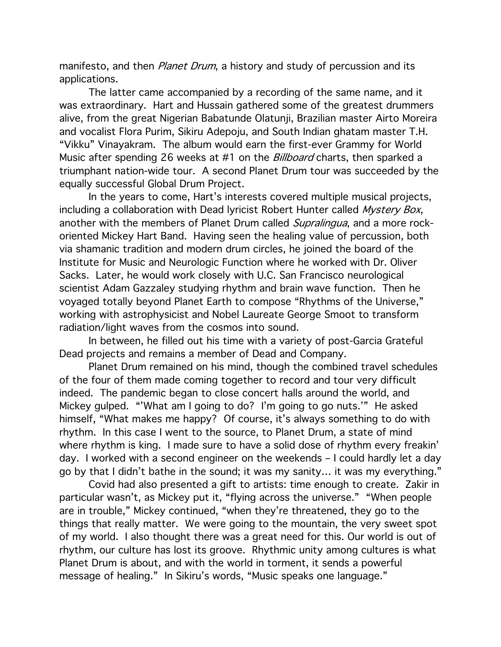manifesto, and then *Planet Drum*, a history and study of percussion and its applications.

The latter came accompanied by a recording of the same name, and it was extraordinary. Hart and Hussain gathered some of the greatest drummers alive, from the great Nigerian Babatunde Olatunji, Brazilian master Airto Moreira and vocalist Flora Purim, Sikiru Adepoju, and South Indian ghatam master T.H. "Vikku" Vinayakram. The album would earn the first-ever Grammy for World Music after spending 26 weeks at #1 on the *Billboard* charts, then sparked a triumphant nation-wide tour. A second Planet Drum tour was succeeded by the equally successful Global Drum Project.

In the years to come, Hart's interests covered multiple musical projects, including a collaboration with Dead lyricist Robert Hunter called Mystery Box, another with the members of Planet Drum called *Supralingua*, and a more rockoriented Mickey Hart Band. Having seen the healing value of percussion, both via shamanic tradition and modern drum circles, he joined the board of the Institute for Music and Neurologic Function where he worked with Dr. Oliver Sacks. Later, he would work closely with U.C. San Francisco neurological scientist Adam Gazzaley studying rhythm and brain wave function. Then he voyaged totally beyond Planet Earth to compose "Rhythms of the Universe," working with astrophysicist and Nobel Laureate George Smoot to transform radiation/light waves from the cosmos into sound.

In between, he filled out his time with a variety of post-Garcia Grateful Dead projects and remains a member of Dead and Company.

Planet Drum remained on his mind, though the combined travel schedules of the four of them made coming together to record and tour very difficult indeed. The pandemic began to close concert halls around the world, and Mickey gulped. "'What am I going to do? I'm going to go nuts.'" He asked himself, "What makes me happy? Of course, it's always something to do with rhythm. In this case I went to the source, to Planet Drum, a state of mind where rhythm is king. I made sure to have a solid dose of rhythm every freakin' day. I worked with a second engineer on the weekends – I could hardly let a day go by that I didn't bathe in the sound; it was my sanity… it was my everything."

Covid had also presented a gift to artists: time enough to create. Zakir in particular wasn't, as Mickey put it, "flying across the universe." "When people are in trouble," Mickey continued, "when they're threatened, they go to the things that really matter. We were going to the mountain, the very sweet spot of my world. I also thought there was a great need for this. Our world is out of rhythm, our culture has lost its groove. Rhythmic unity among cultures is what Planet Drum is about, and with the world in torment, it sends a powerful message of healing." In Sikiru's words, "Music speaks one language."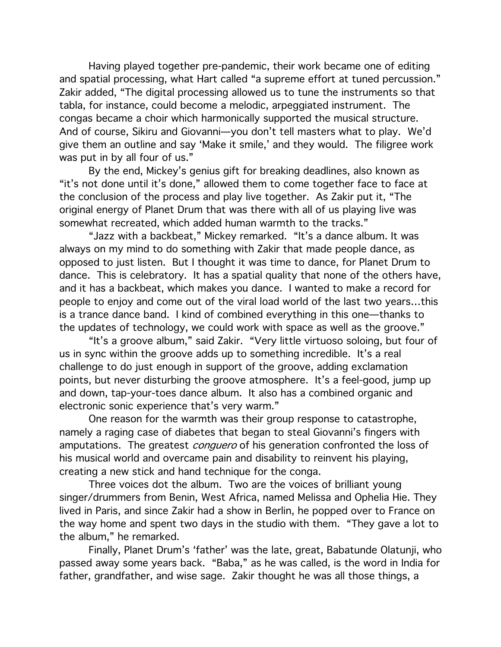Having played together pre-pandemic, their work became one of editing and spatial processing, what Hart called "a supreme effort at tuned percussion." Zakir added, "The digital processing allowed us to tune the instruments so that tabla, for instance, could become a melodic, arpeggiated instrument. The congas became a choir which harmonically supported the musical structure. And of course, Sikiru and Giovanni—you don't tell masters what to play. We'd give them an outline and say 'Make it smile,' and they would. The filigree work was put in by all four of us."

By the end, Mickey's genius gift for breaking deadlines, also known as "it's not done until it's done," allowed them to come together face to face at the conclusion of the process and play live together. As Zakir put it, "The original energy of Planet Drum that was there with all of us playing live was somewhat recreated, which added human warmth to the tracks."

"Jazz with a backbeat," Mickey remarked. "It's a dance album. It was always on my mind to do something with Zakir that made people dance, as opposed to just listen. But I thought it was time to dance, for Planet Drum to dance. This is celebratory. It has a spatial quality that none of the others have, and it has a backbeat, which makes you dance. I wanted to make a record for people to enjoy and come out of the viral load world of the last two years…this is a trance dance band. I kind of combined everything in this one—thanks to the updates of technology, we could work with space as well as the groove."

"It's a groove album," said Zakir. "Very little virtuoso soloing, but four of us in sync within the groove adds up to something incredible. It's a real challenge to do just enough in support of the groove, adding exclamation points, but never disturbing the groove atmosphere. It's a feel-good, jump up and down, tap-your-toes dance album. It also has a combined organic and electronic sonic experience that's very warm."

One reason for the warmth was their group response to catastrophe, namely a raging case of diabetes that began to steal Giovanni's fingers with amputations. The greatest *conguero* of his generation confronted the loss of his musical world and overcame pain and disability to reinvent his playing, creating a new stick and hand technique for the conga.

Three voices dot the album. Two are the voices of brilliant young singer/drummers from Benin, West Africa, named Melissa and Ophelia Hie. They lived in Paris, and since Zakir had a show in Berlin, he popped over to France on the way home and spent two days in the studio with them. "They gave a lot to the album," he remarked.

Finally, Planet Drum's 'father' was the late, great, Babatunde Olatunji, who passed away some years back. "Baba," as he was called, is the word in India for father, grandfather, and wise sage. Zakir thought he was all those things, a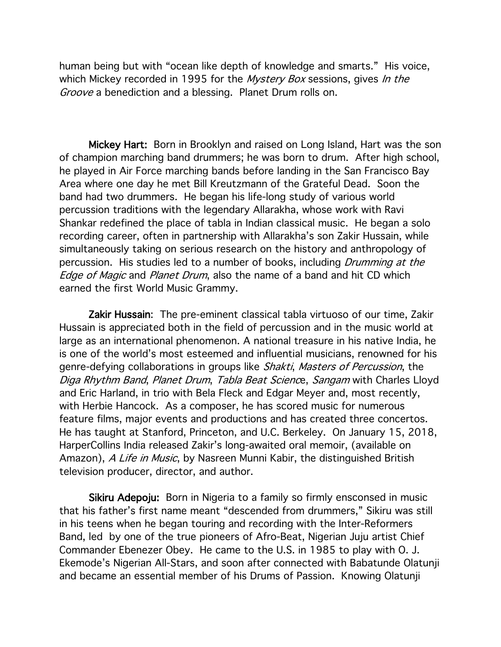human being but with "ocean like depth of knowledge and smarts." His voice, which Mickey recorded in 1995 for the *Mystery Box* sessions, gives *In the* Groove a benediction and a blessing. Planet Drum rolls on.

Mickey Hart: Born in Brooklyn and raised on Long Island, Hart was the son of champion marching band drummers; he was born to drum. After high school, he played in Air Force marching bands before landing in the San Francisco Bay Area where one day he met Bill Kreutzmann of the Grateful Dead. Soon the band had two drummers. He began his life-long study of various world percussion traditions with the legendary Allarakha, whose work with Ravi Shankar redefined the place of tabla in Indian classical music. He began a solo recording career, often in partnership with Allarakha's son Zakir Hussain, while simultaneously taking on serious research on the history and anthropology of percussion. His studies led to a number of books, including *Drumming at the* Edge of Magic and Planet Drum, also the name of a band and hit CD which earned the first World Music Grammy.

Zakir Hussain: The pre-eminent classical tabla virtuoso of our time, Zakir Hussain is appreciated both in the field of percussion and in the music world at large as an international phenomenon. A national treasure in his native India, he is one of the world's most esteemed and influential musicians, renowned for his genre-defying collaborations in groups like Shakti, Masters of Percussion, the Diga Rhythm Band, Planet Drum, Tabla Beat Science, Sangam with Charles Lloyd and Eric Harland, in trio with Bela Fleck and Edgar Meyer and, most recently, with Herbie Hancock. As a composer, he has scored music for numerous feature films, major events and productions and has created three concertos. He has taught at Stanford, Princeton, and U.C. Berkeley. On January 15, 2018, HarperCollins India released Zakir's long-awaited oral memoir, (available on Amazon), A Life in Music, by Nasreen Munni Kabir, the distinguished British television producer, director, and author.

Sikiru Adepoju: Born in Nigeria to a family so firmly ensconsed in music that his father's first name meant "descended from drummers," Sikiru was still in his teens when he began touring and recording with the Inter-Reformers Band, led by one of the true pioneers of Afro-Beat, Nigerian Juju artist Chief Commander Ebenezer Obey. He came to the U.S. in 1985 to play with O. J. Ekemode's Nigerian All-Stars, and soon after connected with Babatunde Olatunji and became an essential member of his Drums of Passion. Knowing Olatunji